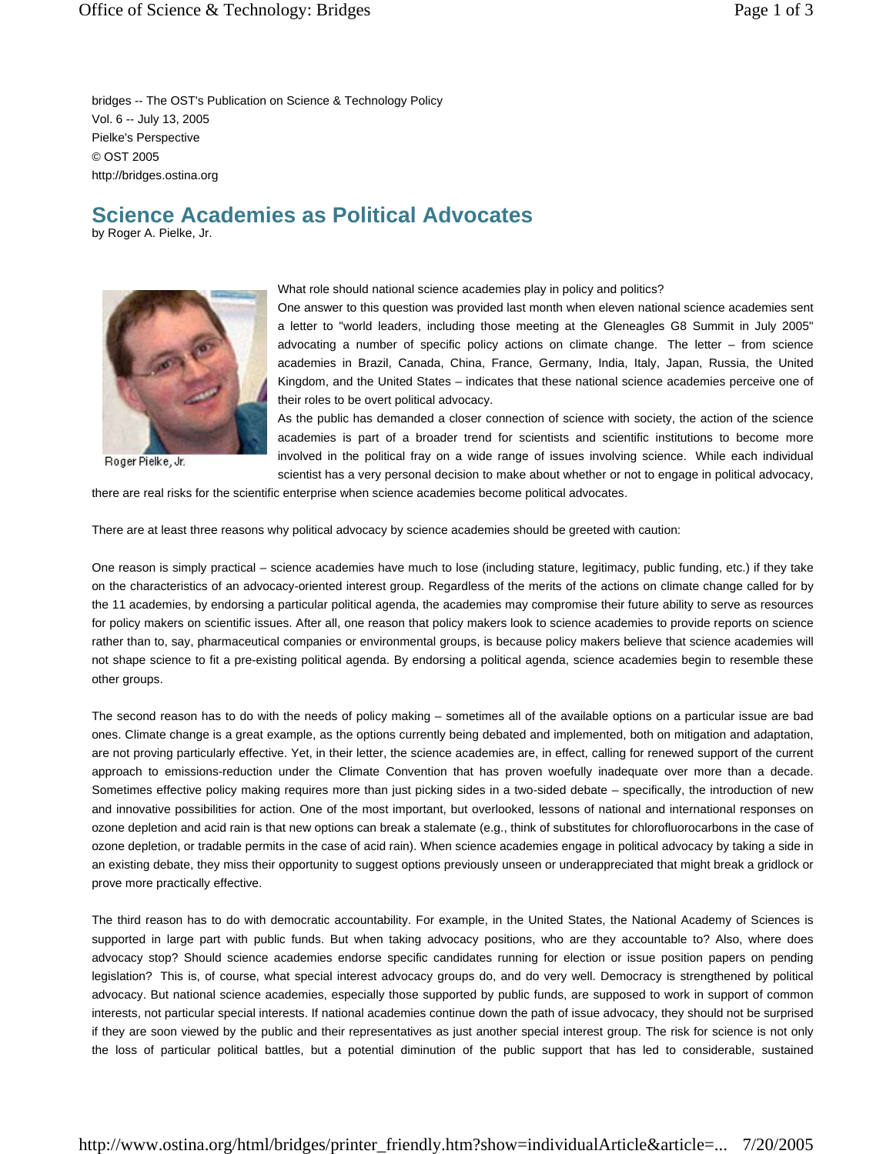bridges -- The OST's Publication on Science & Technology Policy Vol. 6 -- July 13, 2005 Pielke's Perspective © OST 2005 http://bridges.ostina.org

## **Science Academies as Political Advocates**

by Roger A. Pielke, Jr.



Roger Pielke, Jr.

## What role should national science academies play in policy and politics?

One answer to this question was provided last month when eleven national science academies sent a letter to "world leaders, including those meeting at the Gleneagles G8 Summit in July 2005" advocating a number of specific policy actions on climate change. The letter – from science academies in Brazil, Canada, China, France, Germany, India, Italy, Japan, Russia, the United Kingdom, and the United States – indicates that these national science academies perceive one of their roles to be overt political advocacy.

As the public has demanded a closer connection of science with society, the action of the science academies is part of a broader trend for scientists and scientific institutions to become more involved in the political fray on a wide range of issues involving science. While each individual scientist has a very personal decision to make about whether or not to engage in political advocacy,

there are real risks for the scientific enterprise when science academies become political advocates.

There are at least three reasons why political advocacy by science academies should be greeted with caution:

One reason is simply practical – science academies have much to lose (including stature, legitimacy, public funding, etc.) if they take on the characteristics of an advocacy-oriented interest group. Regardless of the merits of the actions on climate change called for by the 11 academies, by endorsing a particular political agenda, the academies may compromise their future ability to serve as resources for policy makers on scientific issues. After all, one reason that policy makers look to science academies to provide reports on science rather than to, say, pharmaceutical companies or environmental groups, is because policy makers believe that science academies will not shape science to fit a pre-existing political agenda. By endorsing a political agenda, science academies begin to resemble these other groups.

The second reason has to do with the needs of policy making – sometimes all of the available options on a particular issue are bad ones. Climate change is a great example, as the options currently being debated and implemented, both on mitigation and adaptation, are not proving particularly effective. Yet, in their letter, the science academies are, in effect, calling for renewed support of the current approach to emissions-reduction under the Climate Convention that has proven woefully inadequate over more than a decade. Sometimes effective policy making requires more than just picking sides in a two-sided debate – specifically, the introduction of new and innovative possibilities for action. One of the most important, but overlooked, lessons of national and international responses on ozone depletion and acid rain is that new options can break a stalemate (e.g., think of substitutes for chlorofluorocarbons in the case of ozone depletion, or tradable permits in the case of acid rain). When science academies engage in political advocacy by taking a side in an existing debate, they miss their opportunity to suggest options previously unseen or underappreciated that might break a gridlock or prove more practically effective.

The third reason has to do with democratic accountability. For example, in the United States, the National Academy of Sciences is supported in large part with public funds. But when taking advocacy positions, who are they accountable to? Also, where does advocacy stop? Should science academies endorse specific candidates running for election or issue position papers on pending legislation? This is, of course, what special interest advocacy groups do, and do very well. Democracy is strengthened by political advocacy. But national science academies, especially those supported by public funds, are supposed to work in support of common interests, not particular special interests. If national academies continue down the path of issue advocacy, they should not be surprised if they are soon viewed by the public and their representatives as just another special interest group. The risk for science is not only the loss of particular political battles, but a potential diminution of the public support that has led to considerable, sustained